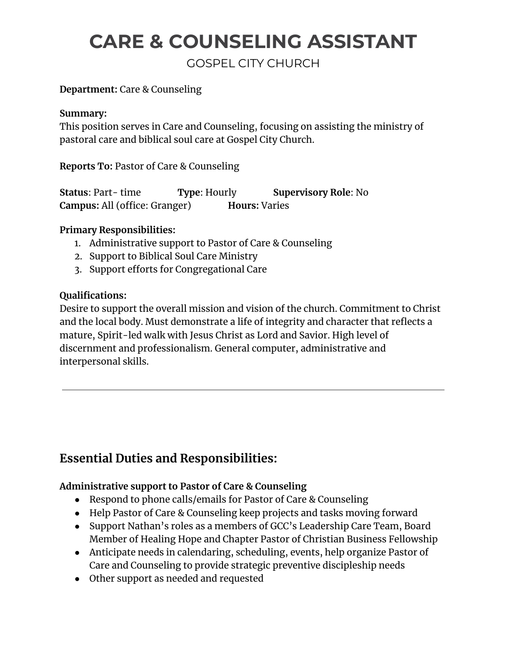# **CARE & COUNSELING ASSISTANT**

GOSPEL CITY CHURCH

### **Department:** Care & Counseling

#### **Summary:**

This position serves in Care and Counseling, focusing on assisting the ministry of pastoral care and biblical soul care at Gospel City Church.

**Reports To:** Pastor of Care & Counseling

**Status**: Part- time **Type**: Hourly **Supervisory Role**: No **Campus:** All (office: Granger) **Hours:** Varies

#### **Primary Responsibilities:**

- 1. Administrative support to Pastor of Care & Counseling
- 2. Support to Biblical Soul Care Ministry
- 3. Support efforts for Congregational Care

#### **Qualifications:**

Desire to support the overall mission and vision of the church. Commitment to Christ and the local body. Must demonstrate a life of integrity and character that reflects a mature, Spirit-led walk with Jesus Christ as Lord and Savior. High level of discernment and professionalism. General computer, administrative and interpersonal skills.

# **Essential Duties and Responsibilities:**

# **Administrative support to Pastor of Care & Counseling**

- Respond to phone calls/emails for Pastor of Care & Counseling
- Help Pastor of Care & Counseling keep projects and tasks moving forward
- Support Nathan's roles as a members of GCC's Leadership Care Team, Board Member of Healing Hope and Chapter Pastor of Christian Business Fellowship
- Anticipate needs in calendaring, scheduling, events, help organize Pastor of Care and Counseling to provide strategic preventive discipleship needs
- Other support as needed and requested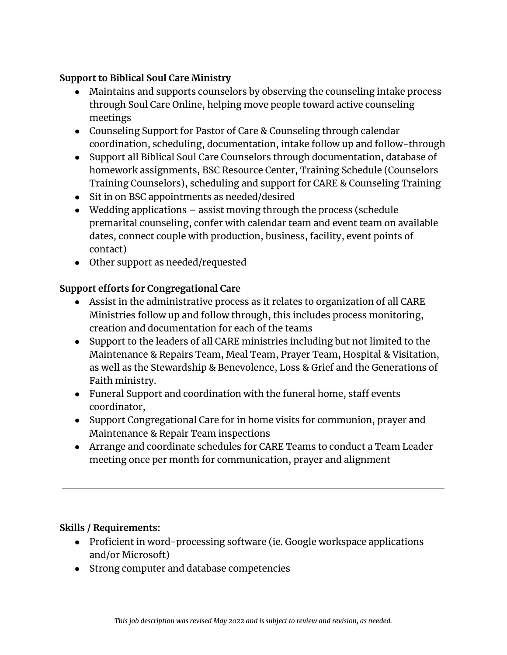## **Support to Biblical Soul Care Ministry**

- Maintains and supports counselors by observing the counseling intake process through Soul Care Online, helping move people toward active counseling meetings
- Counseling Support for Pastor of Care & Counseling through calendar coordination, scheduling, documentation, intake follow up and follow-through
- Support all Biblical Soul Care Counselors through documentation, database of homework assignments, BSC Resource Center, Training Schedule (Counselors Training Counselors), scheduling and support for CARE & Counseling Training
- Sit in on BSC appointments as needed/desired
- $\bullet$  Wedding applications  $-$  assist moving through the process (schedule premarital counseling, confer with calendar team and event team on available dates, connect couple with production, business, facility, event points of contact)
- Other support as needed/requested

# **Support efforts for Congregational Care**

- Assist in the administrative process as it relates to organization of all CARE Ministries follow up and follow through, this includes process monitoring, creation and documentation for each of the teams
- Support to the leaders of all CARE ministries including but not limited to the Maintenance & Repairs Team, Meal Team, Prayer Team, Hospital & Visitation, as well as the Stewardship & Benevolence, Loss & Grief and the Generations of Faith ministry.
- Funeral Support and coordination with the funeral home, staff events coordinator,
- Support Congregational Care for in home visits for communion, prayer and Maintenance & Repair Team inspections
- Arrange and coordinate schedules for CARE Teams to conduct a Team Leader meeting once per month for communication, prayer and alignment

#### **Skills / Requirements:**

- Proficient in word-processing software (ie. Google workspace applications and/or Microsoft)
- Strong computer and database competencies